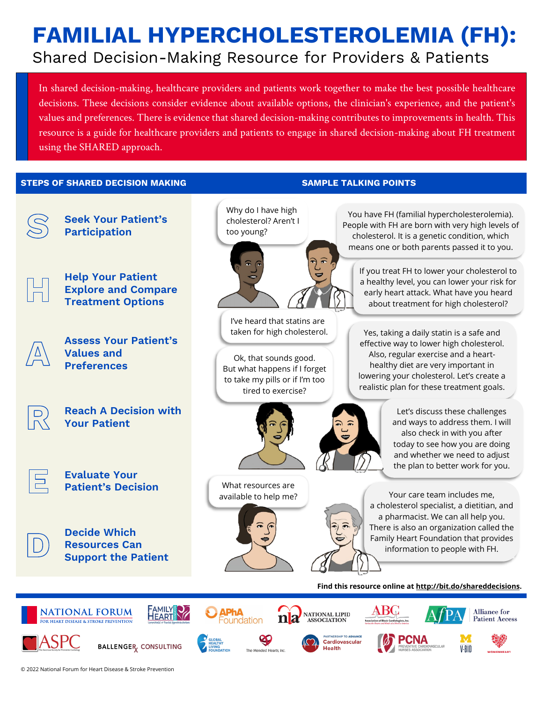# **FAMILIAL HYPERCHOLESTEROLEMIA (FH):**  Shared Decision-Making Resource for Providers & Patients

In shared decision-making, healthcare providers and patients work together to make the best possible healthcare decisions. These decisions consider evidence about available options, the clinician's experience, and the patient's values and preferences. There is evidence that shared decision-making contributes to improvements in health. This resource is a guide for healthcare providers and patients to engage in shared decision-making about FH treatment using the SHARED approach.

#### **STEPS OF SHARED DECISION MAKING SAMPLE TALKING POINTS**

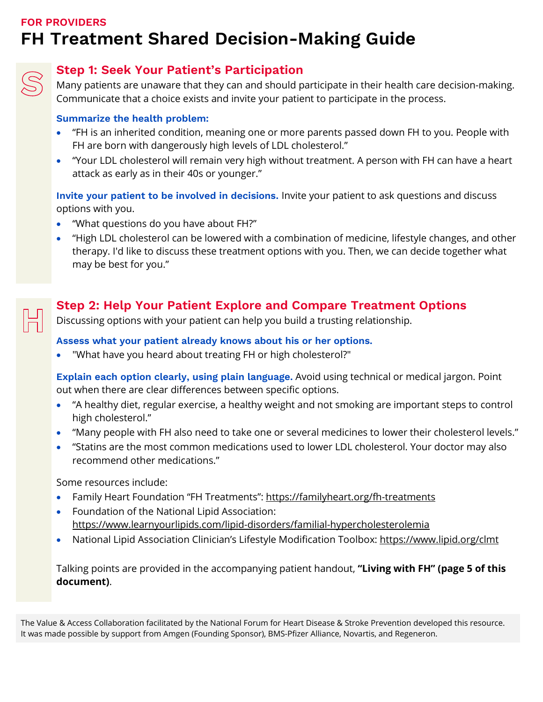### **FOR PROVIDERS FH Treatment Shared Decision-Making Guide**



### **Step 1: Seek Your Patient's Participation**

Many patients are unaware that they can and should participate in their health care decision-making. Communicate that a choice exists and invite your patient to participate in the process.

#### **Summarize the health problem:**

- "FH is an inherited condition, meaning one or more parents passed down FH to you. People with FH are born with dangerously high levels of LDL cholesterol."
- "Your LDL cholesterol will remain very high without treatment. A person with FH can have a heart attack as early as in their 40s or younger."

**Invite your patient to be involved in decisions.** Invite your patient to ask questions and discuss options with you.

- "What questions do you have about FH?"
- "High LDL cholesterol can be lowered with a combination of medicine, lifestyle changes, and other therapy. I'd like to discuss these treatment options with you. Then, we can decide together what may be best for you."

### **Step 2: Help Your Patient Explore and Compare Treatment Options**

Discussing options with your patient can help you build a trusting relationship.

### **Assess what your patient already knows about his or her options.**

• "What have you heard about treating FH or high cholesterol?"

**Explain each option clearly, using plain language.** Avoid using technical or medical jargon. Point out when there are clear differences between specific options.

- "A healthy diet, regular exercise, a healthy weight and not smoking are important steps to control high cholesterol."
- "Many people with FH also need to take one or several medicines to lower their cholesterol levels."
- "Statins are the most common medications used to lower LDL cholesterol. Your doctor may also recommend other medications."

Some resources include:

- Family Heart Foundation "FH Treatments":<https://familyheart.org/fh-treatments>
- Foundation of the National Lipid Association: [https://www.learnyourlipids.com/lipid-disorders/familial-hypercholesterolemia](https://www.learnyourlipids.com/lipid-disorders/familial-hypercholesterolemia/)
- National Lipid Association Clinician's Lifestyle Modification Toolbox:<https://www.lipid.org/clmt>

Talking points are provided in the accompanying patient handout, **["Living with FH"](#page-4-0) (page 5 of this [document\)](#page-4-0)**.

The Value & Access Collaboration facilitated by the National Forum for Heart Disease & Stroke Prevention developed this resource. It was made possible by support from Amgen (Founding Sponsor), BMS-Pfizer Alliance, Novartis, and Regeneron.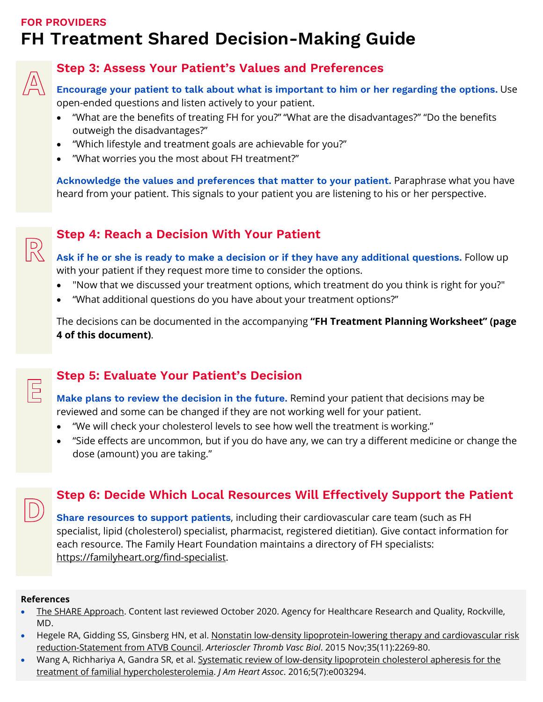### **FOR PROVIDERS FH Treatment Shared Decision-Making Guide**



R

 $\boxed{5}$ 

### **Step 3: Assess Your Patient's Values and Preferences**

**Encourage your patient to talk about what is important to him or her regarding the options.** Use open-ended questions and listen actively to your patient.

- "What are the benefits of treating FH for you?" "What are the disadvantages?" "Do the benefits outweigh the disadvantages?"
- "Which lifestyle and treatment goals are achievable for you?"
- "What worries you the most about FH treatment?"

**Acknowledge the values and preferences that matter to your patient.** Paraphrase what you have heard from your patient. This signals to your patient you are listening to his or her perspective.

### **Step 4: Reach a Decision With Your Patient**

**Ask if he or she is ready to make a decision or if they have any additional questions.** Follow up with your patient if they request more time to consider the options.

- "Now that we discussed your treatment options, which treatment do you think is right for you?"
- "What additional questions do you have about your treatment options?"

The decisions can be documented in the accompanying **["FH Treatment Planning Worksheet" \(page](#page-3-0)  [4 of this document\)](#page-3-0)**.

### **Step 5: Evaluate Your Patient's Decision**

**Make plans to review the decision in the future.** Remind your patient that decisions may be reviewed and some can be changed if they are not working well for your patient.

- "We will check your cholesterol levels to see how well the treatment is working."
- "Side effects are uncommon, but if you do have any, we can try a different medicine or change the dose (amount) you are taking."

### **Step 6: Decide Which Local Resources Will Effectively Support the Patient**

**Share resources to support patients**, including their cardiovascular care team (such as FH specialist, lipid (cholesterol) specialist, pharmacist, registered dietitian). Give contact information for each resource. The Family Heart Foundation maintains a directory of FH specialists: [https://familyheart.org/find-specialist.](https://familyheart.org/find-specialist)

#### **References**

- [The SHARE Approach.](https://www.ahrq.gov/health-literacy/professional-training/shared-decision/tool/resource-2.html) Content last reviewed October 2020. Agency for Healthcare Research and Quality, Rockville, MD.
- Hegele RA, Gidding SS, Ginsberg HN, et al. Nonstatin low-density lipoprotein-lowering therapy and cardiovascular risk [reduction-Statement from ATVB Council.](https://pubmed.ncbi.nlm.nih.gov/26376908/) *Arterioscler Thromb Vasc Biol*. 2015 Nov;35(11):2269-80.
- Wang A, Richhariya A, Gandra SR, et al. Systematic review of low-density lipoprotein cholesterol apheresis for the [treatment of familial hypercholesterolemia.](https://pubmed.ncbi.nlm.nih.gov/27385428/) *J Am Heart Assoc*. 2016;5(7):e003294.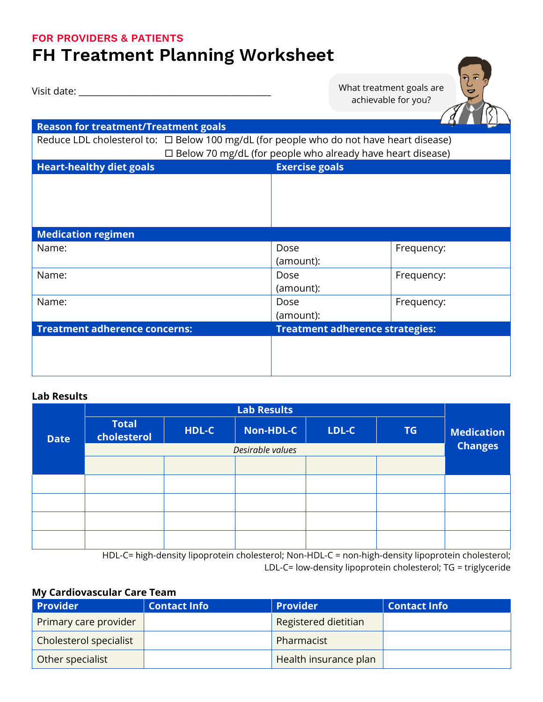#### <span id="page-3-0"></span>**FOR PROVIDERS & PATIENTS**

# **FH Treatment Planning Worksheet**

Visit date: \_\_\_\_\_\_\_\_\_\_\_\_\_\_\_\_\_\_\_\_\_\_\_\_\_\_\_\_\_\_\_\_\_\_\_\_\_\_\_\_\_\_\_\_

What treatment goals are achievable for you?



#### **Lab Results**

|             | <b>Lab Results</b>          |       |           |       |           |                   |
|-------------|-----------------------------|-------|-----------|-------|-----------|-------------------|
| <b>Date</b> | <b>Total</b><br>cholesterol | HDL-C | Non-HDL-C | LDL-C | <b>TG</b> | <b>Medication</b> |
|             | Desirable values            |       |           |       |           | <b>Changes</b>    |
|             |                             |       |           |       |           |                   |
|             |                             |       |           |       |           |                   |
|             |                             |       |           |       |           |                   |
|             |                             |       |           |       |           |                   |
|             |                             |       |           |       |           |                   |

HDL-C= high-density lipoprotein cholesterol; Non-HDL-C = non-high-density lipoprotein cholesterol; LDL-C= low-density lipoprotein cholesterol; TG = triglyceride

#### **My Cardiovascular Care Team**

| <b>Provider</b>        | <b>Contact Info</b> | <b>Provider</b>       | <b>Contact Info</b> |
|------------------------|---------------------|-----------------------|---------------------|
| Primary care provider  |                     | Registered dietitian  |                     |
| Cholesterol specialist |                     | Pharmacist            |                     |
| Other specialist       |                     | Health insurance plan |                     |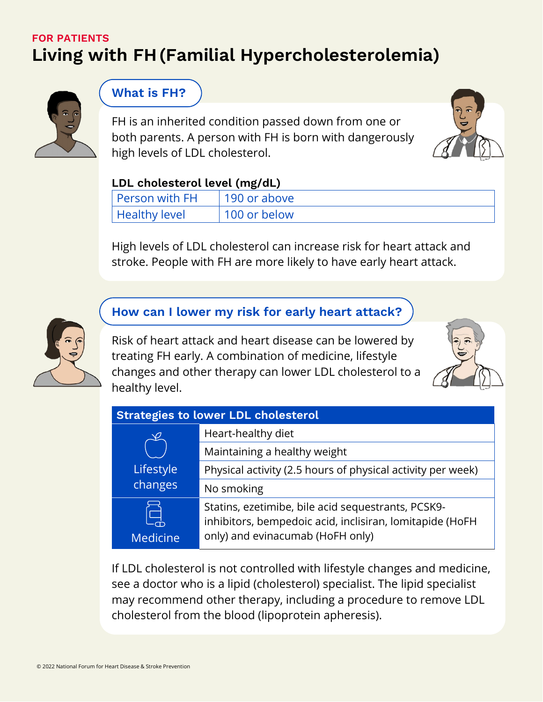## <span id="page-4-0"></span>**FOR PATIENTS Living with FH(Familial Hypercholesterolemia)**



### **What is FH?**

FH is an inherited condition passed down from one or both parents. A person with FH is born with dangerously high levels of LDL cholesterol.



### **LDL cholesterol level (mg/dL)**

| Person with FH | 190 or above |
|----------------|--------------|
| Healthy level  | 100 or below |

High levels of LDL cholesterol can increase risk for heart attack and stroke. People with FH are more likely to have early heart attack.



## **How can I lower my risk for early heart attack?**

Risk of heart attack and heart disease can be lowered by treating FH early. A combination of medicine, lifestyle changes and other therapy can lower LDL cholesterol to a healthy level.



| <b>Strategies to lower LDL cholesterol</b> |                                                                                                                                                    |  |  |  |
|--------------------------------------------|----------------------------------------------------------------------------------------------------------------------------------------------------|--|--|--|
| $\varphi$                                  | Heart-healthy diet                                                                                                                                 |  |  |  |
|                                            | Maintaining a healthy weight                                                                                                                       |  |  |  |
| Lifestyle                                  | Physical activity (2.5 hours of physical activity per week)                                                                                        |  |  |  |
| changes                                    | No smoking                                                                                                                                         |  |  |  |
| <b>Medicine</b>                            | Statins, ezetimibe, bile acid sequestrants, PCSK9-<br>inhibitors, bempedoic acid, inclisiran, lomitapide (HoFH<br>only) and evinacumab (HoFH only) |  |  |  |

If LDL cholesterol is not controlled with lifestyle changes and medicine, see a doctor who is a lipid (cholesterol) specialist. The lipid specialist may recommend other therapy, including a procedure to remove LDL cholesterol from the blood (lipoprotein apheresis).